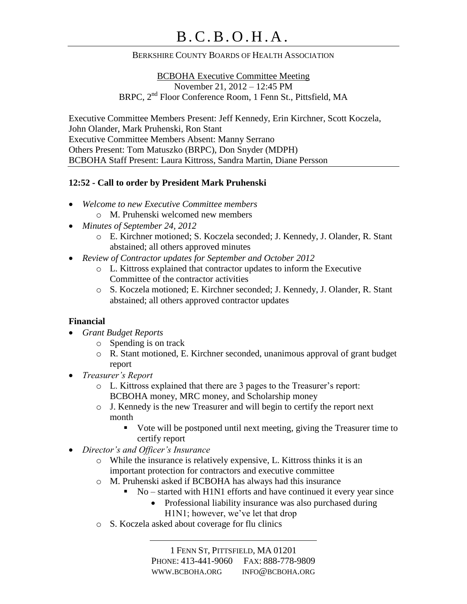#### BERKSHIRE COUNTY BOARDS OF HEALTH ASSOCIATION

BCBOHA Executive Committee Meeting November 21, 2012 – 12:45 PM BRPC, 2nd Floor Conference Room, 1 Fenn St., Pittsfield, MA

Executive Committee Members Present: Jeff Kennedy, Erin Kirchner, Scott Koczela, John Olander, Mark Pruhenski, Ron Stant Executive Committee Members Absent: Manny Serrano Others Present: Tom Matuszko (BRPC), Don Snyder (MDPH) BCBOHA Staff Present: Laura Kittross, Sandra Martin, Diane Persson

#### **12:52 - Call to order by President Mark Pruhenski**

- *Welcome to new Executive Committee members*
	- o M. Pruhenski welcomed new members
- *Minutes of September 24, 2012*
	- o E. Kirchner motioned; S. Koczela seconded; J. Kennedy, J. Olander, R. Stant abstained; all others approved minutes
- *Review of Contractor updates for September and October 2012*
	- o L. Kittross explained that contractor updates to inform the Executive Committee of the contractor activities
	- o S. Koczela motioned; E. Kirchner seconded; J. Kennedy, J. Olander, R. Stant abstained; all others approved contractor updates

# **Financial**

- *Grant Budget Reports*
	- o Spending is on track
	- o R. Stant motioned, E. Kirchner seconded, unanimous approval of grant budget report
- *Treasurer's Report*
	- o L. Kittross explained that there are 3 pages to the Treasurer's report: BCBOHA money, MRC money, and Scholarship money
	- o J. Kennedy is the new Treasurer and will begin to certify the report next month
		- Vote will be postponed until next meeting, giving the Treasurer time to certify report
- *Director's and Officer's Insurance*
	- o While the insurance is relatively expensive, L. Kittross thinks it is an important protection for contractors and executive committee
	- o M. Pruhenski asked if BCBOHA has always had this insurance
		- $\blacksquare$  No started with H1N1 efforts and have continued it every year since
			- Professional liability insurance was also purchased during
			- H1N1; however, we've let that drop
	- o S. Koczela asked about coverage for flu clinics

1 FENN ST, PITTSFIELD, MA 01201 PHONE: 413-441-9060 FAX: 888-778-9809 WWW.BCBOHA.ORG INFO@BCBOHA.ORG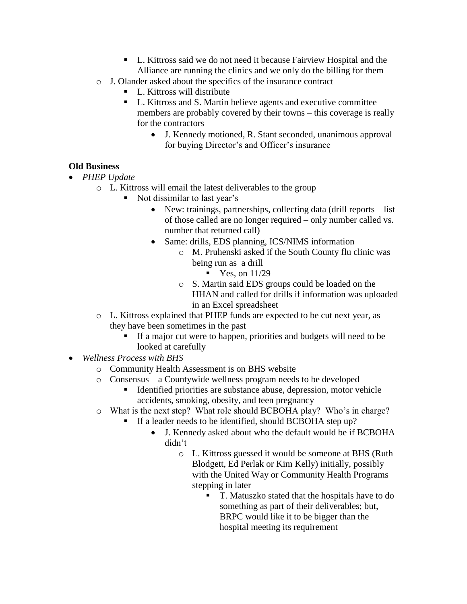- L. Kittross said we do not need it because Fairview Hospital and the Alliance are running the clinics and we only do the billing for them
- o J. Olander asked about the specifics of the insurance contract
	- L. Kittross will distribute
	- L. Kittross and S. Martin believe agents and executive committee members are probably covered by their towns – this coverage is really for the contractors
		- J. Kennedy motioned, R. Stant seconded, unanimous approval for buying Director's and Officer's insurance

# **Old Business**

- *PHEP Update* 
	- o L. Kittross will email the latest deliverables to the group
		- Not dissimilar to last year's
			- New: trainings, partnerships, collecting data (drill reports list of those called are no longer required – only number called vs. number that returned call)
			- Same: drills, EDS planning, ICS/NIMS information
				- o M. Pruhenski asked if the South County flu clinic was being run as a drill
					- $\blacksquare$  Yes, on 11/29
				- o S. Martin said EDS groups could be loaded on the HHAN and called for drills if information was uploaded in an Excel spreadsheet
	- o L. Kittross explained that PHEP funds are expected to be cut next year, as they have been sometimes in the past
		- If a major cut were to happen, priorities and budgets will need to be looked at carefully
- *Wellness Process with BHS*
	- o Community Health Assessment is on BHS website
	- o Consensus a Countywide wellness program needs to be developed
		- Identified priorities are substance abuse, depression, motor vehicle accidents, smoking, obesity, and teen pregnancy
	- o What is the next step? What role should BCBOHA play? Who's in charge?
		- If a leader needs to be identified, should BCBOHA step up?
			- J. Kennedy asked about who the default would be if BCBOHA didn't
				- o L. Kittross guessed it would be someone at BHS (Ruth Blodgett, Ed Perlak or Kim Kelly) initially, possibly with the United Way or Community Health Programs stepping in later
					- T. Matuszko stated that the hospitals have to do something as part of their deliverables; but, BRPC would like it to be bigger than the hospital meeting its requirement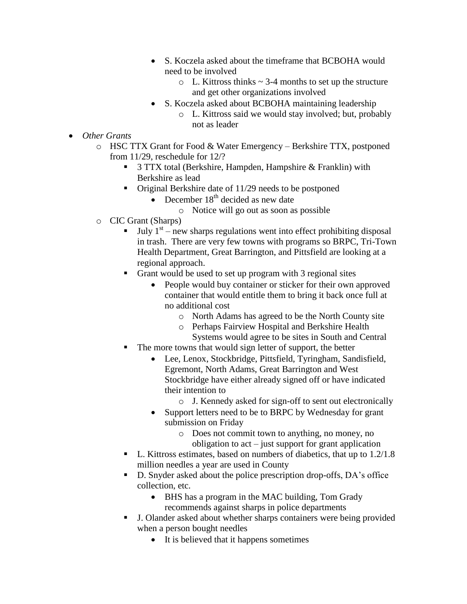- S. Koczela asked about the timeframe that BCBOHA would need to be involved
	- $\circ$  L. Kittross thinks  $\sim$  3-4 months to set up the structure and get other organizations involved
- S. Koczela asked about BCBOHA maintaining leadership
	- o L. Kittross said we would stay involved; but, probably not as leader
- *Other Grants*
	- o HSC TTX Grant for Food & Water Emergency Berkshire TTX, postponed from 11/29, reschedule for 12/?
		- 3 TTX total (Berkshire, Hampden, Hampshire & Franklin) with Berkshire as lead
		- Original Berkshire date of 11/29 needs to be postponed
			- $\bullet$  December 18<sup>th</sup> decided as new date
				- o Notice will go out as soon as possible
	- o CIC Grant (Sharps)
		- $\blacksquare$  July 1<sup>st</sup> new sharps regulations went into effect prohibiting disposal in trash. There are very few towns with programs so BRPC, Tri-Town Health Department, Great Barrington, and Pittsfield are looking at a regional approach.
		- Grant would be used to set up program with 3 regional sites
			- People would buy container or sticker for their own approved container that would entitle them to bring it back once full at no additional cost
				- o North Adams has agreed to be the North County site
				- o Perhaps Fairview Hospital and Berkshire Health Systems would agree to be sites in South and Central
		- The more towns that would sign letter of support, the better
			- Lee, Lenox, Stockbridge, Pittsfield, Tyringham, Sandisfield, Egremont, North Adams, Great Barrington and West Stockbridge have either already signed off or have indicated their intention to
				- o J. Kennedy asked for sign-off to sent out electronically
			- Support letters need to be to BRPC by Wednesday for grant submission on Friday
				- o Does not commit town to anything, no money, no obligation to act – just support for grant application
		- $\blacksquare$  L. Kittross estimates, based on numbers of diabetics, that up to 1.2/1.8 million needles a year are used in County
		- D. Snyder asked about the police prescription drop-offs, DA's office collection, etc.
			- BHS has a program in the MAC building, Tom Grady recommends against sharps in police departments
		- J. Olander asked about whether sharps containers were being provided when a person bought needles
			- It is believed that it happens sometimes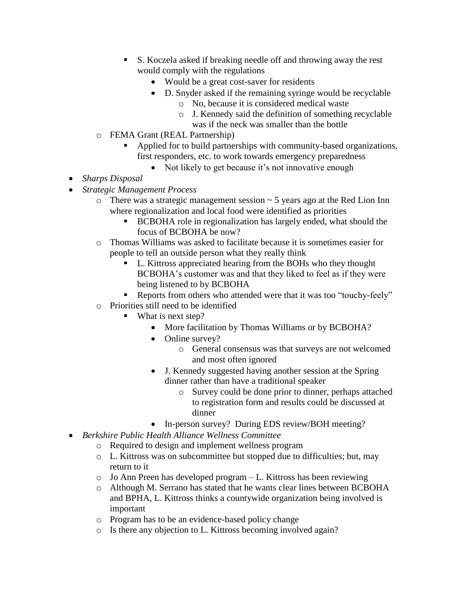- S. Koczela asked if breaking needle off and throwing away the rest would comply with the regulations
	- Would be a great cost-saver for residents
	- D. Snyder asked if the remaining syringe would be recyclable
		- o No, because it is considered medical waste
		- o J. Kennedy said the definition of something recyclable
		- was if the neck was smaller than the bottle
- o FEMA Grant (REAL Partnership)
	- Applied for to build partnerships with community-based organizations, first responders, etc. to work towards emergency preparedness
		- Not likely to get because it's not innovative enough
- *Sharps Disposal*
- *Strategic Management Process*
	- $\circ$  There was a strategic management session  $\sim$  5 years ago at the Red Lion Inn where regionalization and local food were identified as priorities
		- **BCBOHA** role in regionalization has largely ended, what should the focus of BCBOHA be now?
	- o Thomas Williams was asked to facilitate because it is sometimes easier for people to tell an outside person what they really think
		- L. Kittross appreciated hearing from the BOHs who they thought BCBOHA's customer was and that they liked to feel as if they were being listened to by BCBOHA
		- Reports from others who attended were that it was too "touchy-feely"
	- o Priorities still need to be identified
		- What is next step?
			- More facilitation by Thomas Williams or by BCBOHA?
			- Online survey?
				- o General consensus was that surveys are not welcomed and most often ignored
			- J. Kennedy suggested having another session at the Spring dinner rather than have a traditional speaker
				- o Survey could be done prior to dinner, perhaps attached to registration form and results could be discussed at dinner
			- In-person survey? During EDS review/BOH meeting?
- *Berkshire Public Health Alliance Wellness Committee*
	- o Required to design and implement wellness program
	- o L. Kittross was on subcommittee but stopped due to difficulties; but, may return to it
	- o Jo Ann Preen has developed program L. Kittross has been reviewing
	- o Although M. Serrano has stated that he wants clear lines between BCBOHA and BPHA, L. Kittross thinks a countywide organization being involved is important
	- o Program has to be an evidence-based policy change
	- o Is there any objection to L. Kittross becoming involved again?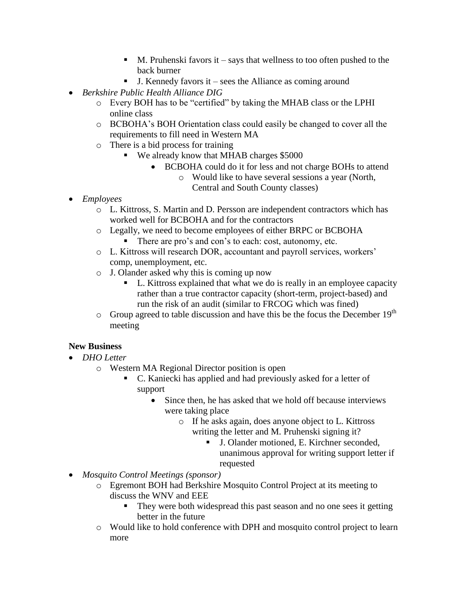- $\blacksquare$  M. Pruhenski favors it says that wellness to too often pushed to the back burner
- $\blacksquare$  J. Kennedy favors it sees the Alliance as coming around
- *Berkshire Public Health Alliance DIG*
	- o Every BOH has to be "certified" by taking the MHAB class or the LPHI online class
	- o BCBOHA's BOH Orientation class could easily be changed to cover all the requirements to fill need in Western MA
	- o There is a bid process for training
		- We already know that MHAB charges \$5000
			- BCBOHA could do it for less and not charge BOHs to attend
				- o Would like to have several sessions a year (North, Central and South County classes)
- *Employees*
	- o L. Kittross, S. Martin and D. Persson are independent contractors which has worked well for BCBOHA and for the contractors
	- o Legally, we need to become employees of either BRPC or BCBOHA
		- There are pro's and con's to each: cost, autonomy, etc.
	- o L. Kittross will research DOR, accountant and payroll services, workers' comp, unemployment, etc.
	- o J. Olander asked why this is coming up now
		- L. Kittross explained that what we do is really in an employee capacity rather than a true contractor capacity (short-term, project-based) and run the risk of an audit (similar to FRCOG which was fined)
	- $\circ$  Group agreed to table discussion and have this be the focus the December 19<sup>th</sup> meeting

# **New Business**

- *DHO Letter*
	- o Western MA Regional Director position is open
		- C. Kaniecki has applied and had previously asked for a letter of support
			- Since then, he has asked that we hold off because interviews were taking place
				- o If he asks again, does anyone object to L. Kittross writing the letter and M. Pruhenski signing it?
					- J. Olander motioned, E. Kirchner seconded, unanimous approval for writing support letter if requested
- *Mosquito Control Meetings (sponsor)*
	- o Egremont BOH had Berkshire Mosquito Control Project at its meeting to discuss the WNV and EEE
		- They were both widespread this past season and no one sees it getting better in the future
	- o Would like to hold conference with DPH and mosquito control project to learn more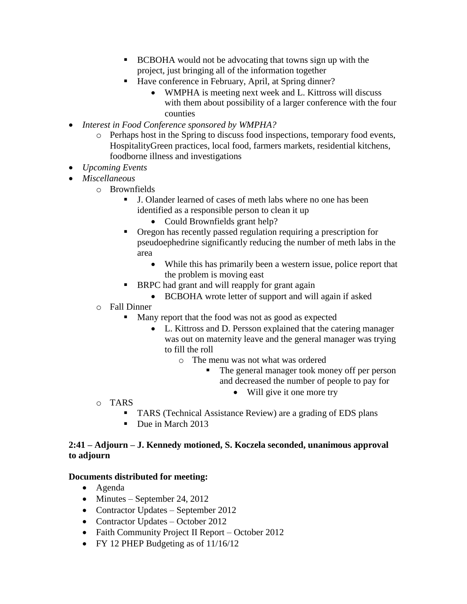- BCBOHA would not be advocating that towns sign up with the project, just bringing all of the information together
- Have conference in February, April, at Spring dinner?
	- WMPHA is meeting next week and L. Kittross will discuss with them about possibility of a larger conference with the four counties
- *Interest in Food Conference sponsored by WMPHA?*
	- o Perhaps host in the Spring to discuss food inspections, temporary food events, HospitalityGreen practices, local food, farmers markets, residential kitchens, foodborne illness and investigations
- *Upcoming Events*
- *Miscellaneous*
	- o Brownfields
		- J. Olander learned of cases of meth labs where no one has been identified as a responsible person to clean it up
			- Could Brownfields grant help?
		- Oregon has recently passed regulation requiring a prescription for pseudoephedrine significantly reducing the number of meth labs in the area
			- While this has primarily been a western issue, police report that the problem is moving east
		- **BRPC** had grant and will reapply for grant again
			- BCBOHA wrote letter of support and will again if asked
	- o Fall Dinner
		- Many report that the food was not as good as expected
			- L. Kittross and D. Persson explained that the catering manager was out on maternity leave and the general manager was trying to fill the roll
				- o The menu was not what was ordered
					- The general manager took money off per person and decreased the number of people to pay for
						- Will give it one more try
- o TARS
	- TARS (Technical Assistance Review) are a grading of EDS plans
	- Due in March 2013

# **2:41 – Adjourn – J. Kennedy motioned, S. Koczela seconded, unanimous approval to adjourn**

#### **Documents distributed for meeting:**

- Agenda
- $\bullet$  Minutes September 24, 2012
- Contractor Updates September 2012
- Contractor Updates October 2012
- Faith Community Project II Report October 2012
- FY 12 PHEP Budgeting as of  $11/16/12$